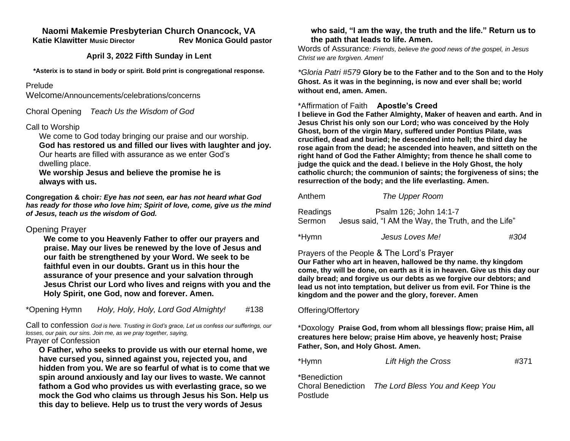#### **Naomi Makemie Presbyterian Church Onancock, VA Katie Klawitter Music Director Rev Monica Gould pastor**

#### **April 3, 2022 Fifth Sunday in Lent**

**\*Asterix is to stand in body or spirit. Bold print is congregational response.**

#### Prelude

Welcome/Announcements/celebrations/concerns

Choral Opening *Teach Us the Wisdom of God*

### Call to Worship

 We come to God today bringing our praise and our worship.  **God has restored us and filled our lives with laughter and joy.**  Our hearts are filled with assurance as we enter God's dwelling place.

 **We worship Jesus and believe the promise he is always with us.** 

**Congregation & choir***: Eye has not seen, ear has not heard what God has ready for those who love him; Spirit of love, come, give us the mind of Jesus, teach us the wisdom of God.* 

## Opening Prayer

**We come to you Heavenly Father to offer our prayers and praise. May our lives be renewed by the love of Jesus and our faith be strengthened by your Word. We seek to be faithful even in our doubts. Grant us in this hour the assurance of your presence and your salvation through Jesus Christ our Lord who lives and reigns with you and the Holy Spirit, one God, now and forever. Amen.** 

\*Opening Hymn *Holy, Holy, Holy, Lord God Almighty!* #138

Call to confession *God is here. Trusting in God's grace, Let us confess our sufferings, our losses, our pain, our sins. Join me, as we pray together, saying,*

Prayer of Confession

**O Father, who seeks to provide us with our eternal home, we have cursed you, sinned against you, rejected you, and hidden from you. We are so fearful of what is to come that we spin around anxiously and lay our lives to waste. We cannot fathom a God who provides us with everlasting grace, so we mock the God who claims us through Jesus his Son. Help us this day to believe. Help us to trust the very words of Jesus** 

#### **who said, "I am the way, the truth and the life." Return us to the path that leads to life. Amen.**

Words of Assurance*: Friends, believe the good news of the gospel, in Jesus Christ we are forgiven. Amen!*

*\*Gloria Patri #579* **Glory be to the Father and to the Son and to the Holy Ghost. As it was in the beginning, is now and ever shall be; world without end, amen. Amen.** 

### \*Affirmation of Faith **Apostle's Creed**

**I believe in God the Father Almighty, Maker of heaven and earth. And in Jesus Christ his only son our Lord; who was conceived by the Holy Ghost, born of the virgin Mary, suffered under Pontius Pilate, was crucified, dead and buried; he descended into hell; the third day he rose again from the dead; he ascended into heaven, and sitteth on the right hand of God the Father Almighty; from thence he shall come to judge the quick and the dead. I believe in the Holy Ghost, the holy catholic church; the communion of saints; the forgiveness of sins; the resurrection of the body; and the life everlasting. Amen.**

| Anthem             | The Upper Room                                                                |      |
|--------------------|-------------------------------------------------------------------------------|------|
| Readings<br>Sermon | Psalm 126; John 14:1-7<br>Jesus said, "I AM the Way, the Truth, and the Life" |      |
| *Hymn              | Jesus Loves Me!                                                               | #304 |

## Prayers of the People & The Lord's Prayer

**Our Father who art in heaven, hallowed be thy name. thy kingdom come, thy will be done, on earth as it is in heaven. Give us this day our daily bread; and forgive us our debts as we forgive our debtors; and lead us not into temptation, but deliver us from evil. For Thine is the kingdom and the power and the glory, forever. Amen**

## Offering/Offertory

\*Doxology **Praise God, from whom all blessings flow; praise Him, all creatures here below; praise Him above, ye heavenly host; Praise Father, Son, and Holy Ghost. Amen.** 

| <b>Lift High the Cross</b> | #371 |
|----------------------------|------|
|                            |      |

\*Benediction Choral Benediction *The Lord Bless You and Keep You* **Postlude**